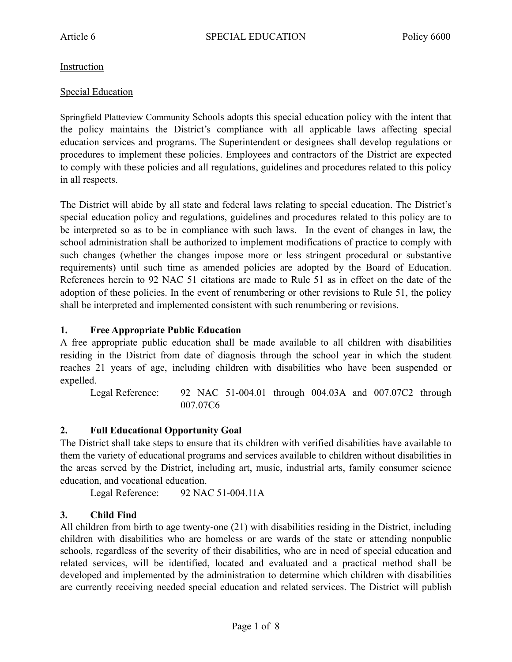### **Instruction**

### Special Education

Springfield Platteview Community Schools adopts this special education policy with the intent that the policy maintains the District's compliance with all applicable laws affecting special education services and programs. The Superintendent or designees shall develop regulations or procedures to implement these policies. Employees and contractors of the District are expected to comply with these policies and all regulations, guidelines and procedures related to this policy in all respects.

The District will abide by all state and federal laws relating to special education. The District's special education policy and regulations, guidelines and procedures related to this policy are to be interpreted so as to be in compliance with such laws. In the event of changes in law, the school administration shall be authorized to implement modifications of practice to comply with such changes (whether the changes impose more or less stringent procedural or substantive requirements) until such time as amended policies are adopted by the Board of Education. References herein to 92 NAC 51 citations are made to Rule 51 as in effect on the date of the adoption of these policies. In the event of renumbering or other revisions to Rule 51, the policy shall be interpreted and implemented consistent with such renumbering or revisions.

### **1. Free Appropriate Public Education**

A free appropriate public education shall be made available to all children with disabilities residing in the District from date of diagnosis through the school year in which the student reaches 21 years of age, including children with disabilities who have been suspended or expelled.

Legal Reference: 92 NAC 51-004.01 through 004.03A and 007.07C2 through 007.07C6

## **2. Full Educational Opportunity Goal**

The District shall take steps to ensure that its children with verified disabilities have available to them the variety of educational programs and services available to children without disabilities in the areas served by the District, including art, music, industrial arts, family consumer science education, and vocational education.

Legal Reference: 92 NAC 51-004.11A

## **3. Child Find**

All children from birth to age twenty-one (21) with disabilities residing in the District, including children with disabilities who are homeless or are wards of the state or attending nonpublic schools, regardless of the severity of their disabilities, who are in need of special education and related services, will be identified, located and evaluated and a practical method shall be developed and implemented by the administration to determine which children with disabilities are currently receiving needed special education and related services. The District will publish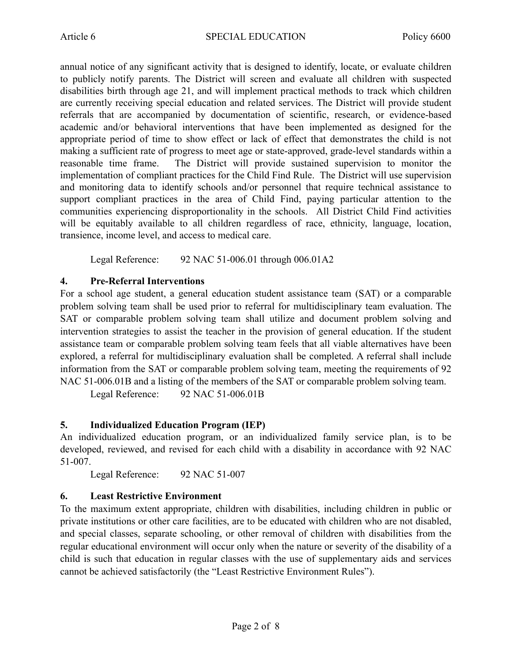annual notice of any significant activity that is designed to identify, locate, or evaluate children to publicly notify parents. The District will screen and evaluate all children with suspected disabilities birth through age 21, and will implement practical methods to track which children are currently receiving special education and related services. The District will provide student referrals that are accompanied by documentation of scientific, research, or evidence-based academic and/or behavioral interventions that have been implemented as designed for the appropriate period of time to show effect or lack of effect that demonstrates the child is not making a sufficient rate of progress to meet age or state-approved, grade-level standards within a reasonable time frame. The District will provide sustained supervision to monitor the implementation of compliant practices for the Child Find Rule. The District will use supervision and monitoring data to identify schools and/or personnel that require technical assistance to support compliant practices in the area of Child Find, paying particular attention to the communities experiencing disproportionality in the schools. All District Child Find activities will be equitably available to all children regardless of race, ethnicity, language, location, transience, income level, and access to medical care.

Legal Reference: 92 NAC 51-006.01 through 006.01A2

## **4. Pre-Referral Interventions**

For a school age student, a general education student assistance team (SAT) or a comparable problem solving team shall be used prior to referral for multidisciplinary team evaluation. The SAT or comparable problem solving team shall utilize and document problem solving and intervention strategies to assist the teacher in the provision of general education. If the student assistance team or comparable problem solving team feels that all viable alternatives have been explored, a referral for multidisciplinary evaluation shall be completed. A referral shall include information from the SAT or comparable problem solving team, meeting the requirements of 92 NAC 51-006.01B and a listing of the members of the SAT or comparable problem solving team.

Legal Reference: 92 NAC 51-006.01B

## **5. Individualized Education Program (IEP)**

An individualized education program, or an individualized family service plan, is to be developed, reviewed, and revised for each child with a disability in accordance with 92 NAC 51-007.

Legal Reference: 92 NAC 51-007

## **6. Least Restrictive Environment**

To the maximum extent appropriate, children with disabilities, including children in public or private institutions or other care facilities, are to be educated with children who are not disabled, and special classes, separate schooling, or other removal of children with disabilities from the regular educational environment will occur only when the nature or severity of the disability of a child is such that education in regular classes with the use of supplementary aids and services cannot be achieved satisfactorily (the "Least Restrictive Environment Rules").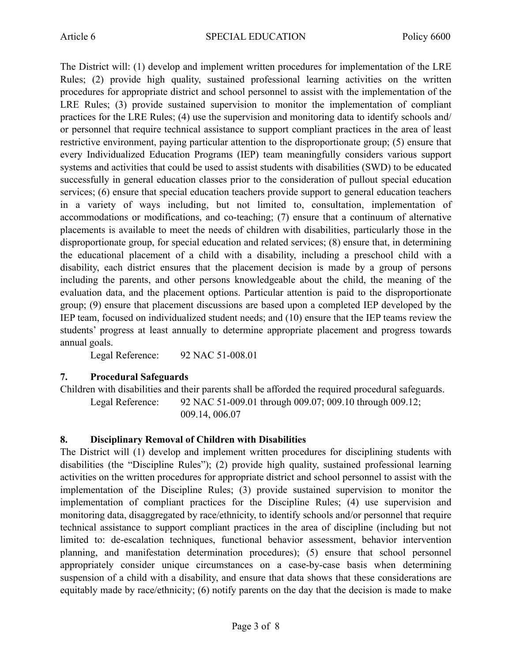The District will: (1) develop and implement written procedures for implementation of the LRE Rules; (2) provide high quality, sustained professional learning activities on the written procedures for appropriate district and school personnel to assist with the implementation of the LRE Rules; (3) provide sustained supervision to monitor the implementation of compliant practices for the LRE Rules; (4) use the supervision and monitoring data to identify schools and/ or personnel that require technical assistance to support compliant practices in the area of least restrictive environment, paying particular attention to the disproportionate group; (5) ensure that every Individualized Education Programs (IEP) team meaningfully considers various support systems and activities that could be used to assist students with disabilities (SWD) to be educated successfully in general education classes prior to the consideration of pullout special education services; (6) ensure that special education teachers provide support to general education teachers in a variety of ways including, but not limited to, consultation, implementation of accommodations or modifications, and co-teaching; (7) ensure that a continuum of alternative placements is available to meet the needs of children with disabilities, particularly those in the disproportionate group, for special education and related services; (8) ensure that, in determining the educational placement of a child with a disability, including a preschool child with a disability, each district ensures that the placement decision is made by a group of persons including the parents, and other persons knowledgeable about the child, the meaning of the evaluation data, and the placement options. Particular attention is paid to the disproportionate group; (9) ensure that placement discussions are based upon a completed IEP developed by the IEP team, focused on individualized student needs; and (10) ensure that the IEP teams review the students' progress at least annually to determine appropriate placement and progress towards annual goals.

Legal Reference: 92 NAC 51-008.01

#### **7. Procedural Safeguards**

Children with disabilities and their parents shall be afforded the required procedural safeguards. Legal Reference: 92 NAC 51-009.01 through 009.07; 009.10 through 009.12;

009.14, 006.07

## **8. Disciplinary Removal of Children with Disabilities**

The District will (1) develop and implement written procedures for disciplining students with disabilities (the "Discipline Rules"); (2) provide high quality, sustained professional learning activities on the written procedures for appropriate district and school personnel to assist with the implementation of the Discipline Rules; (3) provide sustained supervision to monitor the implementation of compliant practices for the Discipline Rules; (4) use supervision and monitoring data, disaggregated by race/ethnicity, to identify schools and/or personnel that require technical assistance to support compliant practices in the area of discipline (including but not limited to: de-escalation techniques, functional behavior assessment, behavior intervention planning, and manifestation determination procedures); (5) ensure that school personnel appropriately consider unique circumstances on a case-by-case basis when determining suspension of a child with a disability, and ensure that data shows that these considerations are equitably made by race/ethnicity; (6) notify parents on the day that the decision is made to make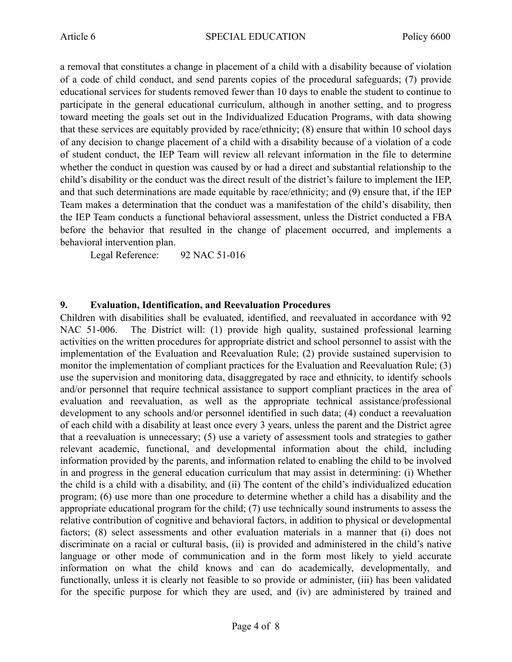a removal that constitutes a change in placement of a child with a disability because of violation of a code of child conduct, and send parents copies of the procedural safeguards; (7) provide educational services for students removed fewer than 10 days to enable the student to continue to participate in the general educational curriculum, although in another setting, and to progress toward meeting the goals set out in the Individualized Education Programs, with data showing that these services are equitably provided by race/ethnicity; (8) ensure that within 10 school days of any decision to change placement of a child with a disability because of a violation of a code of student conduct, the IEP Team will review all relevant information in the file to determine whether the conduct in question was caused by or had a direct and substantial relationship to the child's disability or the conduct was the direct result of the district's failure to implement the IEP, and that such determinations are made equitable by race/ethnicity; and (9) ensure that, if the IEP Team makes a determination that the conduct was a manifestation of the child's disability, then the IEP Team conducts a functional behavioral assessment, unless the District conducted a FBA before the behavior that resulted in the change of placement occurred, and implements a behavioral intervention plan.

Legal Reference: 92 NAC 51-016

#### **9. Evaluation, Identification, and Reevaluation Procedures**

Children with disabilities shall be evaluated, identified, and reevaluated in accordance with 92 NAC 51-006. The District will: (1) provide high quality, sustained professional learning activities on the written procedures for appropriate district and school personnel to assist with the implementation of the Evaluation and Reevaluation Rule; (2) provide sustained supervision to monitor the implementation of compliant practices for the Evaluation and Reevaluation Rule; (3) use the supervision and monitoring data, disaggregated by race and ethnicity, to identify schools and/or personnel that require technical assistance to support compliant practices in the area of evaluation and reevaluation, as well as the appropriate technical assistance/professional development to any schools and/or personnel identified in such data; (4) conduct a reevaluation of each child with a disability at least once every 3 years, unless the parent and the District agree that a reevaluation is unnecessary; (5) use a variety of assessment tools and strategies to gather relevant academic, functional, and developmental information about the child, including information provided by the parents, and information related to enabling the child to be involved in and progress in the general education curriculum that may assist in determining: (i) Whether the child is a child with a disability, and (ii) The content of the child's individualized education program; (6) use more than one procedure to determine whether a child has a disability and the appropriate educational program for the child; (7) use technically sound instruments to assess the relative contribution of cognitive and behavioral factors, in addition to physical or developmental factors; (8) select assessments and other evaluation materials in a manner that (i) does not discriminate on a racial or cultural basis, (ii) is provided and administered in the child's native language or other mode of communication and in the form most likely to yield accurate information on what the child knows and can do academically, developmentally, and functionally, unless it is clearly not feasible to so provide or administer, (iii) has been validated for the specific purpose for which they are used, and (iv) are administered by trained and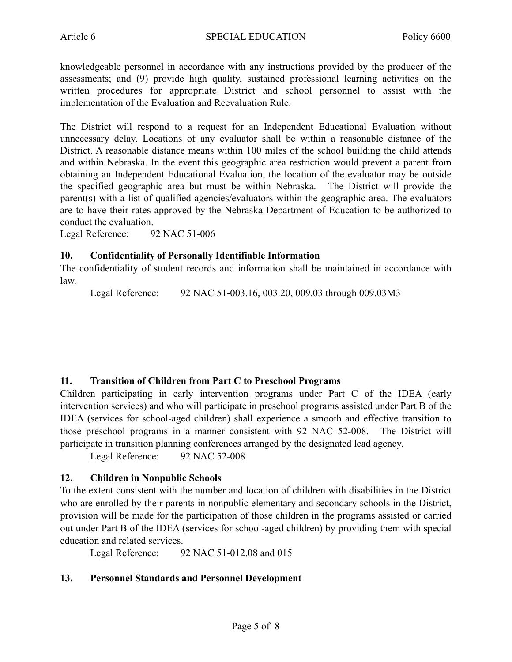knowledgeable personnel in accordance with any instructions provided by the producer of the assessments; and (9) provide high quality, sustained professional learning activities on the written procedures for appropriate District and school personnel to assist with the implementation of the Evaluation and Reevaluation Rule.

The District will respond to a request for an Independent Educational Evaluation without unnecessary delay. Locations of any evaluator shall be within a reasonable distance of the District. A reasonable distance means within 100 miles of the school building the child attends and within Nebraska. In the event this geographic area restriction would prevent a parent from obtaining an Independent Educational Evaluation, the location of the evaluator may be outside the specified geographic area but must be within Nebraska. The District will provide the parent(s) with a list of qualified agencies/evaluators within the geographic area. The evaluators are to have their rates approved by the Nebraska Department of Education to be authorized to conduct the evaluation.

Legal Reference: 92 NAC 51-006

#### **10. Confidentiality of Personally Identifiable Information**

The confidentiality of student records and information shall be maintained in accordance with law.

Legal Reference: 92 NAC 51-003.16, 003.20, 009.03 through 009.03M3

#### **11. Transition of Children from Part C to Preschool Programs**

Children participating in early intervention programs under Part C of the IDEA (early intervention services) and who will participate in preschool programs assisted under Part B of the IDEA (services for school-aged children) shall experience a smooth and effective transition to those preschool programs in a manner consistent with 92 NAC 52-008. The District will participate in transition planning conferences arranged by the designated lead agency.

Legal Reference: 92 NAC 52-008

#### **12. Children in Nonpublic Schools**

To the extent consistent with the number and location of children with disabilities in the District who are enrolled by their parents in nonpublic elementary and secondary schools in the District, provision will be made for the participation of those children in the programs assisted or carried out under Part B of the IDEA (services for school-aged children) by providing them with special education and related services.

Legal Reference: 92 NAC 51-012.08 and 015

#### **13. Personnel Standards and Personnel Development**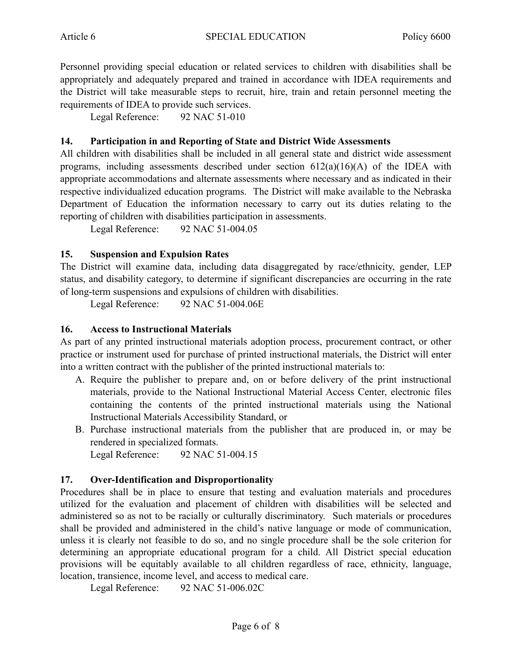Personnel providing special education or related services to children with disabilities shall be appropriately and adequately prepared and trained in accordance with IDEA requirements and the District will take measurable steps to recruit, hire, train and retain personnel meeting the requirements of IDEA to provide such services.

Legal Reference: 92 NAC 51-010

### **14. Participation in and Reporting of State and District Wide Assessments**

All children with disabilities shall be included in all general state and district wide assessment programs, including assessments described under section  $612(a)(16)(A)$  of the IDEA with appropriate accommodations and alternate assessments where necessary and as indicated in their respective individualized education programs. The District will make available to the Nebraska Department of Education the information necessary to carry out its duties relating to the reporting of children with disabilities participation in assessments.

Legal Reference: 92 NAC 51-004.05

#### **15. Suspension and Expulsion Rates**

The District will examine data, including data disaggregated by race/ethnicity, gender, LEP status, and disability category, to determine if significant discrepancies are occurring in the rate of long-term suspensions and expulsions of children with disabilities.

Legal Reference: 92 NAC 51-004.06E

### **16. Access to Instructional Materials**

As part of any printed instructional materials adoption process, procurement contract, or other practice or instrument used for purchase of printed instructional materials, the District will enter into a written contract with the publisher of the printed instructional materials to:

- A. Require the publisher to prepare and, on or before delivery of the print instructional materials, provide to the National Instructional Material Access Center, electronic files containing the contents of the printed instructional materials using the National Instructional Materials Accessibility Standard, or
- B. Purchase instructional materials from the publisher that are produced in, or may be rendered in specialized formats.

Legal Reference: 92 NAC 51-004.15

## **17. Over-Identification and Disproportionality**

Procedures shall be in place to ensure that testing and evaluation materials and procedures utilized for the evaluation and placement of children with disabilities will be selected and administered so as not to be racially or culturally discriminatory. Such materials or procedures shall be provided and administered in the child's native language or mode of communication, unless it is clearly not feasible to do so, and no single procedure shall be the sole criterion for determining an appropriate educational program for a child. All District special education provisions will be equitably available to all children regardless of race, ethnicity, language, location, transience, income level, and access to medical care.

Legal Reference: 92 NAC 51-006.02C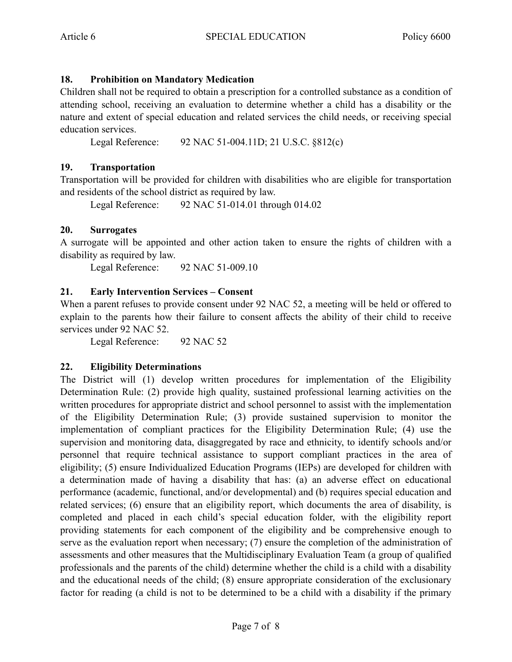# **18. Prohibition on Mandatory Medication**

Children shall not be required to obtain a prescription for a controlled substance as a condition of attending school, receiving an evaluation to determine whether a child has a disability or the nature and extent of special education and related services the child needs, or receiving special education services.

Legal Reference: 92 NAC 51-004.11D; 21 U.S.C. §812(c)

## **19. Transportation**

Transportation will be provided for children with disabilities who are eligible for transportation and residents of the school district as required by law.

Legal Reference: 92 NAC 51-014.01 through 014.02

### **20. Surrogates**

A surrogate will be appointed and other action taken to ensure the rights of children with a disability as required by law.

Legal Reference: 92 NAC 51-009.10

### **21. Early Intervention Services – Consent**

When a parent refuses to provide consent under 92 NAC 52, a meeting will be held or offered to explain to the parents how their failure to consent affects the ability of their child to receive services under 92 NAC 52.

Legal Reference: 92 NAC 52

#### **22. Eligibility Determinations**

The District will (1) develop written procedures for implementation of the Eligibility Determination Rule: (2) provide high quality, sustained professional learning activities on the written procedures for appropriate district and school personnel to assist with the implementation of the Eligibility Determination Rule; (3) provide sustained supervision to monitor the implementation of compliant practices for the Eligibility Determination Rule; (4) use the supervision and monitoring data, disaggregated by race and ethnicity, to identify schools and/or personnel that require technical assistance to support compliant practices in the area of eligibility; (5) ensure Individualized Education Programs (IEPs) are developed for children with a determination made of having a disability that has: (a) an adverse effect on educational performance (academic, functional, and/or developmental) and (b) requires special education and related services; (6) ensure that an eligibility report, which documents the area of disability, is completed and placed in each child's special education folder, with the eligibility report providing statements for each component of the eligibility and be comprehensive enough to serve as the evaluation report when necessary; (7) ensure the completion of the administration of assessments and other measures that the Multidisciplinary Evaluation Team (a group of qualified professionals and the parents of the child) determine whether the child is a child with a disability and the educational needs of the child; (8) ensure appropriate consideration of the exclusionary factor for reading (a child is not to be determined to be a child with a disability if the primary